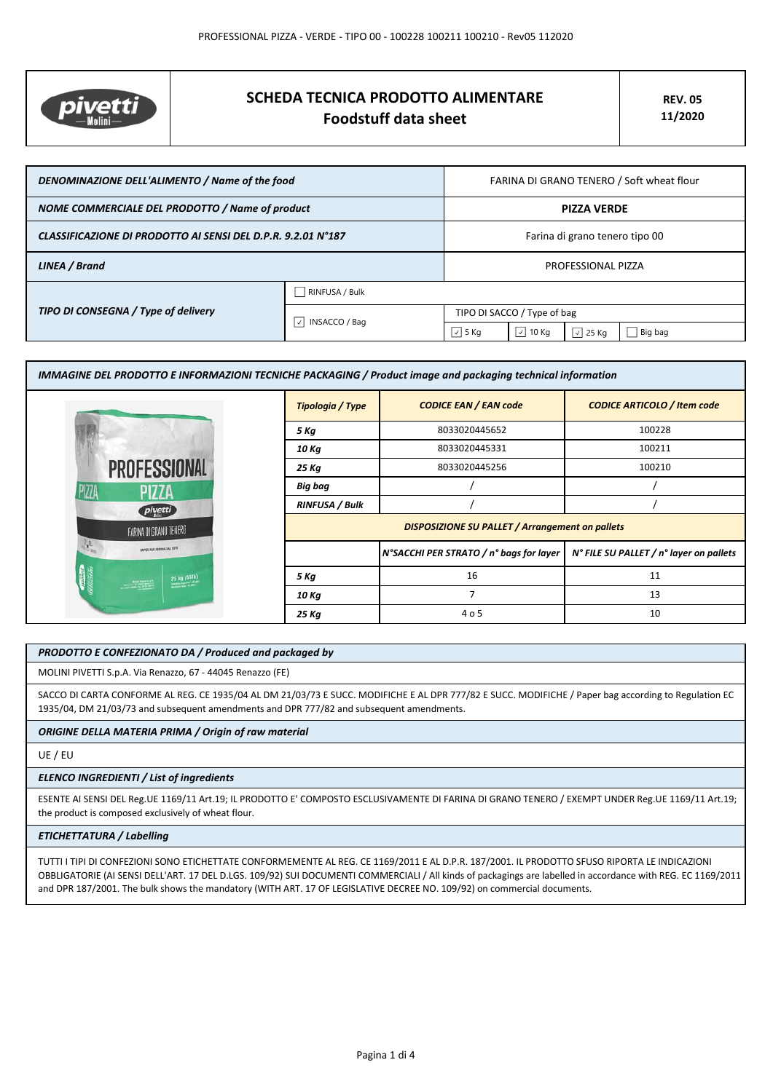

# **SCHEDA TECNICA PRODOTTO ALIMENTARE Foodstuff data sheet**

| DENOMINAZIONE DELL'ALIMENTO / Name of the food               |                     | FARINA DI GRANO TENERO / Soft wheat flour |                |                  |         |
|--------------------------------------------------------------|---------------------|-------------------------------------------|----------------|------------------|---------|
| NOME COMMERCIALE DEL PRODOTTO / Name of product              |                     | <b>PIZZA VERDE</b>                        |                |                  |         |
| CLASSIFICAZIONE DI PRODOTTO AI SENSI DEL D.P.R. 9.2.01 N°187 |                     | Farina di grano tenero tipo 00            |                |                  |         |
| LINEA / Brand                                                |                     | PROFESSIONAL PIZZA                        |                |                  |         |
| TIPO DI CONSEGNA / Type of delivery                          | RINFUSA / Bulk      |                                           |                |                  |         |
|                                                              | INSACCO / Bag<br> v | TIPO DI SACCO / Type of bag               |                |                  |         |
|                                                              |                     | $\sqrt{5}$ Kg                             | $\sqrt{10}$ Kg | $\sqrt{2}$ 25 Kg | Big bag |

|                            | Tipologia / Type      | IMMAGINE DEL PRODOTTO E INFORMAZIONI TECNICHE PACKAGING / Product image and packaging technical information<br><b>CODICE EAN / EAN code</b> | <b>CODICE ARTICOLO / Item code</b>      |  |  |
|----------------------------|-----------------------|---------------------------------------------------------------------------------------------------------------------------------------------|-----------------------------------------|--|--|
|                            | 5 Kg                  | 8033020445652                                                                                                                               | 100228                                  |  |  |
|                            | 10 Kg                 | 8033020445331                                                                                                                               | 100211                                  |  |  |
| <b>PROFESSIONAL</b>        | 25 Kg                 | 8033020445256                                                                                                                               | 100210                                  |  |  |
| <b>PIZZA</b>               | <b>Big bag</b>        |                                                                                                                                             |                                         |  |  |
| pivetti                    | <b>RINFUSA / Bulk</b> |                                                                                                                                             |                                         |  |  |
|                            |                       | <b>DISPOSIZIONE SU PALLET / Arrangement on pallets</b>                                                                                      |                                         |  |  |
| SAPER FAIR FARINA DAL 1875 |                       | N°SACCHI PER STRATO / n° bags for layer                                                                                                     | N° FILE SU PALLET / n° layer on pallets |  |  |
| 25 kg (55fb)               | 5 Kg                  | 16                                                                                                                                          | 11                                      |  |  |
|                            | 10 Kg                 | $\overline{7}$                                                                                                                              | 13                                      |  |  |
|                            | 25 Kg                 | 4 o 5                                                                                                                                       | 10                                      |  |  |

# *PRODOTTO E CONFEZIONATO DA / Produced and packaged by*

MOLINI PIVETTI S.p.A. Via Renazzo, 67 - 44045 Renazzo (FE)

SACCO DI CARTA CONFORME AL REG. CE 1935/04 AL DM 21/03/73 E SUCC. MODIFICHE E AL DPR 777/82 E SUCC. MODIFICHE / Paper bag according to Regulation EC 1935/04, DM 21/03/73 and subsequent amendments and DPR 777/82 and subsequent amendments.

## *ORIGINE DELLA MATERIA PRIMA / Origin of raw material*

UE / EU

#### *ELENCO INGREDIENTI / List of ingredients*

ESENTE AI SENSI DEL Reg.UE 1169/11 Art.19; IL PRODOTTO E' COMPOSTO ESCLUSIVAMENTE DI FARINA DI GRANO TENERO / EXEMPT UNDER Reg.UE 1169/11 Art.19; the product is composed exclusively of wheat flour.

## *ETICHETTATURA / Labelling*

TUTTI I TIPI DI CONFEZIONI SONO ETICHETTATE CONFORMEMENTE AL REG. CE 1169/2011 E AL D.P.R. 187/2001. IL PRODOTTO SFUSO RIPORTA LE INDICAZIONI OBBLIGATORIE (AI SENSI DELL'ART. 17 DEL D.LGS. 109/92) SUI DOCUMENTI COMMERCIALI / All kinds of packagings are labelled in accordance with REG. EC 1169/2011 and DPR 187/2001. The bulk shows the mandatory (WITH ART. 17 OF LEGISLATIVE DECREE NO. 109/92) on commercial documents.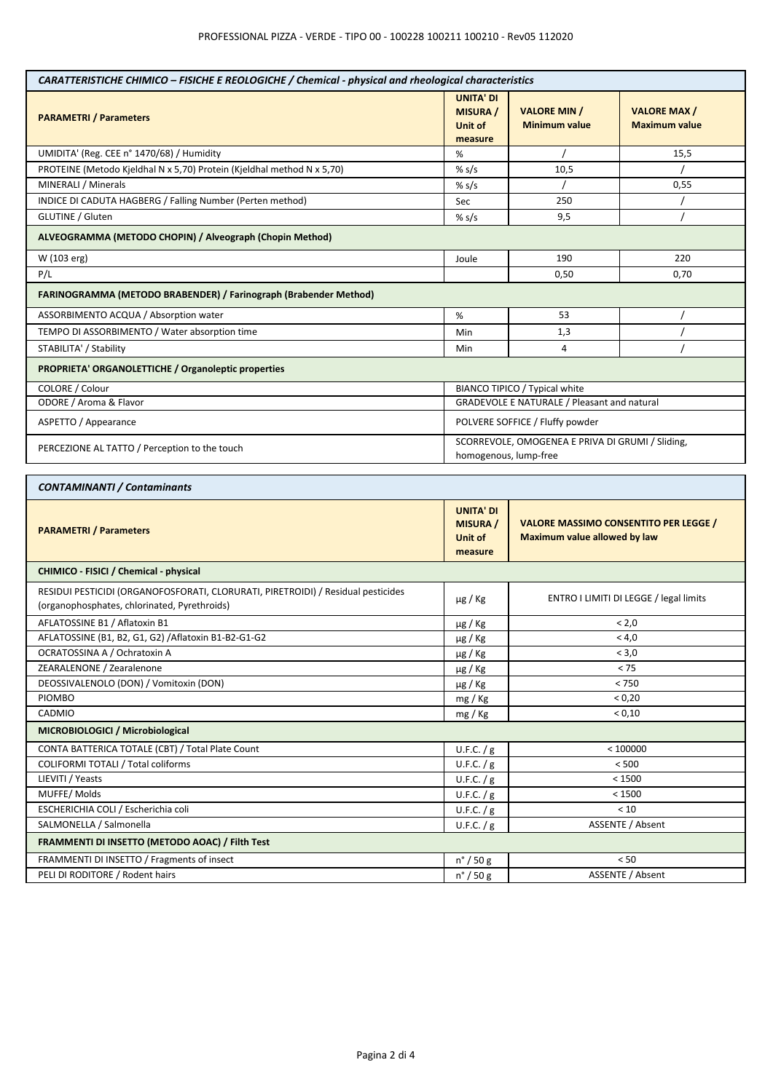| CARATTERISTICHE CHIMICO - FISICHE E REOLOGICHE / Chemical - physical and rheological characteristics                             |                                                           |                                                                                     |                                            |  |
|----------------------------------------------------------------------------------------------------------------------------------|-----------------------------------------------------------|-------------------------------------------------------------------------------------|--------------------------------------------|--|
| <b>PARAMETRI / Parameters</b>                                                                                                    | <b>UNITA' DI</b><br><b>MISURA</b> /<br>Unit of<br>measure | <b>VALORE MIN /</b><br><b>Minimum value</b>                                         | <b>VALORE MAX/</b><br><b>Maximum value</b> |  |
| UMIDITA' (Reg. CEE n° 1470/68) / Humidity                                                                                        | %                                                         |                                                                                     | 15,5                                       |  |
| PROTEINE (Metodo Kjeldhal N x 5,70) Protein (Kjeldhal method N x 5,70)                                                           | % s/s                                                     | 10,5                                                                                |                                            |  |
| MINERALI / Minerals                                                                                                              | % $s/s$                                                   |                                                                                     | 0,55                                       |  |
| INDICE DI CADUTA HAGBERG / Falling Number (Perten method)                                                                        | Sec                                                       | 250                                                                                 |                                            |  |
| <b>GLUTINE / Gluten</b>                                                                                                          | % s/s                                                     | 9,5                                                                                 |                                            |  |
| ALVEOGRAMMA (METODO CHOPIN) / Alveograph (Chopin Method)                                                                         |                                                           |                                                                                     |                                            |  |
| W (103 erg)                                                                                                                      | Joule                                                     | 190<br>220                                                                          |                                            |  |
| P/L                                                                                                                              |                                                           | 0,50                                                                                | 0,70                                       |  |
| <b>FARINOGRAMMA (METODO BRABENDER) / Farinograph (Brabender Method)</b>                                                          |                                                           |                                                                                     |                                            |  |
| ASSORBIMENTO ACQUA / Absorption water                                                                                            | %                                                         | 53                                                                                  |                                            |  |
| TEMPO DI ASSORBIMENTO / Water absorption time                                                                                    | Min                                                       | 1,3                                                                                 |                                            |  |
| STABILITA' / Stability                                                                                                           | Min                                                       | 4                                                                                   |                                            |  |
| PROPRIETA' ORGANOLETTICHE / Organoleptic properties                                                                              |                                                           |                                                                                     |                                            |  |
| COLORE / Colour                                                                                                                  |                                                           | BIANCO TIPICO / Typical white                                                       |                                            |  |
| ODORE / Aroma & Flavor                                                                                                           |                                                           | GRADEVOLE E NATURALE / Pleasant and natural                                         |                                            |  |
| ASPETTO / Appearance                                                                                                             |                                                           | POLVERE SOFFICE / Fluffy powder                                                     |                                            |  |
| PERCEZIONE AL TATTO / Perception to the touch                                                                                    |                                                           | SCORREVOLE, OMOGENEA E PRIVA DI GRUMI / Sliding,<br>homogenous, lump-free           |                                            |  |
| <b>CONTAMINANTI / Contaminants</b>                                                                                               |                                                           |                                                                                     |                                            |  |
| <b>PARAMETRI / Parameters</b>                                                                                                    | <b>UNITA' DI</b><br><b>MISURA</b> /<br>Unit of<br>measure | <b>VALORE MASSIMO CONSENTITO PER LEGGE /</b><br><b>Maximum value allowed by law</b> |                                            |  |
| CHIMICO - FISICI / Chemical - physical                                                                                           |                                                           |                                                                                     |                                            |  |
| RESIDUI PESTICIDI (ORGANOFOSFORATI, CLORURATI, PIRETROIDI) / Residual pesticides<br>(organophosphates, chlorinated, Pyrethroids) | $\mu$ g / Kg                                              | ENTRO I LIMITI DI LEGGE / legal limits                                              |                                            |  |
| AFLATOSSINE B1 / Aflatoxin B1                                                                                                    |                                                           |                                                                                     |                                            |  |
|                                                                                                                                  | $\mu$ g / Kg                                              |                                                                                     | < 2,0                                      |  |
| AFLATOSSINE (B1, B2, G1, G2) / Aflatoxin B1-B2-G1-G2                                                                             |                                                           |                                                                                     | < 4,0                                      |  |
| OCRATOSSINA A / Ochratoxin A                                                                                                     | µg / Kg<br>µg / Kg                                        |                                                                                     | < 3,0                                      |  |
| ZEARALENONE / Zearalenone                                                                                                        | µg / Kg                                                   |                                                                                     | < 75                                       |  |
| DEOSSIVALENOLO (DON) / Vomitoxin (DON)                                                                                           | µg / Kg                                                   |                                                                                     | $< 750$                                    |  |
| <b>PIOMBO</b>                                                                                                                    | mg / Kg                                                   |                                                                                     | < 0,20                                     |  |
| CADMIO                                                                                                                           | mg / Kg                                                   |                                                                                     | < 0,10                                     |  |
| MICROBIOLOGICI / Microbiological                                                                                                 |                                                           |                                                                                     |                                            |  |
| CONTA BATTERICA TOTALE (CBT) / Total Plate Count                                                                                 | U.F.C. / g                                                |                                                                                     | < 100000                                   |  |
| COLIFORMI TOTALI / Total coliforms                                                                                               | U.F.C. / g                                                |                                                                                     | < 500                                      |  |
| LIEVITI / Yeasts                                                                                                                 | U.F.C. / g                                                |                                                                                     | < 1500                                     |  |
| MUFFE/Molds                                                                                                                      | U.F.C. $/g$                                               |                                                                                     | < 1500                                     |  |
| ESCHERICHIA COLI / Escherichia coli                                                                                              | U.F.C. $/g$                                               |                                                                                     | < 10                                       |  |
| SALMONELLA / Salmonella                                                                                                          | U.F.C. $/g$                                               |                                                                                     | ASSENTE / Absent                           |  |
| FRAMMENTI DI INSETTO (METODO AOAC) / Filth Test                                                                                  |                                                           |                                                                                     |                                            |  |
| FRAMMENTI DI INSETTO / Fragments of insect                                                                                       | $n^{\circ}$ / 50 g                                        |                                                                                     | < 50                                       |  |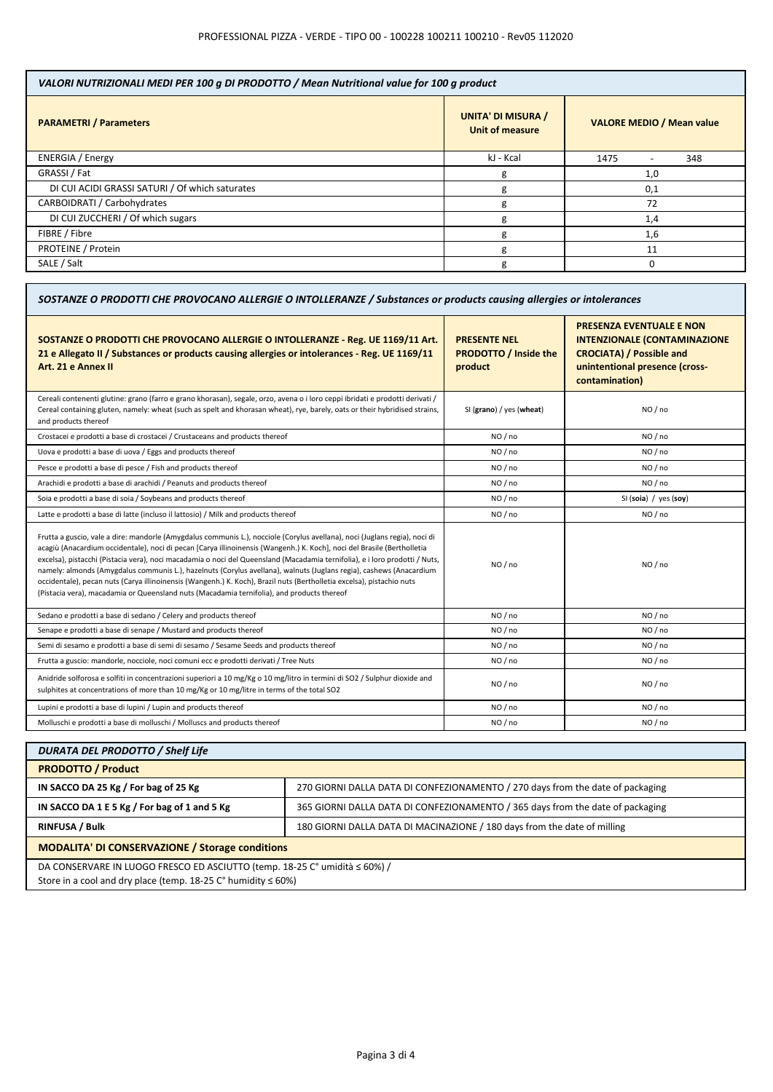| VALORI NUTRIZIONALI MEDI PER 100 g DI PRODOTTO / Mean Nutritional value for 100 g product |                                                     |                                  |  |
|-------------------------------------------------------------------------------------------|-----------------------------------------------------|----------------------------------|--|
| <b>PARAMETRI / Parameters</b>                                                             | <b>UNITA' DI MISURA /</b><br><b>Unit of measure</b> | <b>VALORE MEDIO / Mean value</b> |  |
| <b>ENERGIA</b> / Energy                                                                   | kJ - Kcal                                           | 1475<br>348                      |  |
| GRASSI / Fat                                                                              | g                                                   | 1,0                              |  |
| DI CUI ACIDI GRASSI SATURI / Of which saturates                                           | g                                                   | 0,1                              |  |
| CARBOIDRATI / Carbohydrates                                                               | g                                                   | 72                               |  |
| DI CUI ZUCCHERI / Of which sugars                                                         | g                                                   | 1,4                              |  |
| FIBRE / Fibre                                                                             | g                                                   | 1,6                              |  |
| PROTEINE / Protein                                                                        | g                                                   | 11                               |  |
| SALE / Salt                                                                               | g                                                   | 0                                |  |

| SOSTANZE O PRODOTTI CHE PROVOCANO ALLERGIE O INTOLLERANZE / Substances or products causing allergies or intolerances                                                                                                                                                                                                                                                                                                                                                                                                                                                                                                                                                                                                               |                                                                |                                                                                                                                                               |  |
|------------------------------------------------------------------------------------------------------------------------------------------------------------------------------------------------------------------------------------------------------------------------------------------------------------------------------------------------------------------------------------------------------------------------------------------------------------------------------------------------------------------------------------------------------------------------------------------------------------------------------------------------------------------------------------------------------------------------------------|----------------------------------------------------------------|---------------------------------------------------------------------------------------------------------------------------------------------------------------|--|
| SOSTANZE O PRODOTTI CHE PROVOCANO ALLERGIE O INTOLLERANZE - Reg. UE 1169/11 Art.<br>21 e Allegato II / Substances or products causing allergies or intolerances - Reg. UE 1169/11<br>Art. 21 e Annex II                                                                                                                                                                                                                                                                                                                                                                                                                                                                                                                            | <b>PRESENTE NEL</b><br><b>PRODOTTO / Inside the</b><br>product | <b>PRESENZA EVENTUALE E NON</b><br><b>INTENZIONALE (CONTAMINAZIONE</b><br><b>CROCIATA) / Possible and</b><br>unintentional presence (cross-<br>contamination) |  |
| Cereali contenenti glutine: grano (farro e grano khorasan), segale, orzo, avena o i loro ceppi ibridati e prodotti derivati /<br>Cereal containing gluten, namely: wheat (such as spelt and khorasan wheat), rye, barely, oats or their hybridised strains,<br>and products thereof                                                                                                                                                                                                                                                                                                                                                                                                                                                | SI (grano) / yes (wheat)                                       | NO / no                                                                                                                                                       |  |
| Crostacei e prodotti a base di crostacei / Crustaceans and products thereof                                                                                                                                                                                                                                                                                                                                                                                                                                                                                                                                                                                                                                                        | NO / no                                                        | NO / no                                                                                                                                                       |  |
| Uova e prodotti a base di uova / Eggs and products thereof                                                                                                                                                                                                                                                                                                                                                                                                                                                                                                                                                                                                                                                                         | NO / no                                                        | NO / no                                                                                                                                                       |  |
| Pesce e prodotti a base di pesce / Fish and products thereof                                                                                                                                                                                                                                                                                                                                                                                                                                                                                                                                                                                                                                                                       | NO / no                                                        | NO / no                                                                                                                                                       |  |
| Arachidi e prodotti a base di arachidi / Peanuts and products thereof                                                                                                                                                                                                                                                                                                                                                                                                                                                                                                                                                                                                                                                              | NO/no                                                          | NO/no                                                                                                                                                         |  |
| Soia e prodotti a base di soia / Soybeans and products thereof                                                                                                                                                                                                                                                                                                                                                                                                                                                                                                                                                                                                                                                                     | NO / no                                                        | SI (soia) / yes (soy)                                                                                                                                         |  |
| Latte e prodotti a base di latte (incluso il lattosio) / Milk and products thereof                                                                                                                                                                                                                                                                                                                                                                                                                                                                                                                                                                                                                                                 | NO / no                                                        | NO / no                                                                                                                                                       |  |
| Frutta a guscio, vale a dire: mandorle (Amygdalus communis L.), nocciole (Corylus avellana), noci (Juglans regia), noci di<br>acagiù (Anacardium occidentale), noci di pecan [Carya illinoinensis (Wangenh.) K. Koch], noci del Brasile (Bertholletia<br>excelsa), pistacchi (Pistacia vera), noci macadamia o noci del Queensland (Macadamia ternifolia), e i loro prodotti / Nuts,<br>namely: almonds (Amygdalus communis L.), hazelnuts (Corylus avellana), walnuts (Juglans regia), cashews (Anacardium<br>occidentale), pecan nuts (Carya illinoinensis (Wangenh.) K. Koch), Brazil nuts (Bertholletia excelsa), pistachio nuts<br>(Pistacia vera), macadamia or Queensland nuts (Macadamia ternifolia), and products thereof | NO / no                                                        | NO / no                                                                                                                                                       |  |
| Sedano e prodotti a base di sedano / Celery and products thereof                                                                                                                                                                                                                                                                                                                                                                                                                                                                                                                                                                                                                                                                   | NO / no                                                        | NO / no                                                                                                                                                       |  |
| Senape e prodotti a base di senape / Mustard and products thereof                                                                                                                                                                                                                                                                                                                                                                                                                                                                                                                                                                                                                                                                  | NO / no                                                        | NO / no                                                                                                                                                       |  |
| Semi di sesamo e prodotti a base di semi di sesamo / Sesame Seeds and products thereof                                                                                                                                                                                                                                                                                                                                                                                                                                                                                                                                                                                                                                             | NO/no                                                          | NO / no                                                                                                                                                       |  |
| Frutta a guscio: mandorle, nocciole, noci comuni ecc e prodotti derivati / Tree Nuts                                                                                                                                                                                                                                                                                                                                                                                                                                                                                                                                                                                                                                               | NO/no                                                          | NO/no                                                                                                                                                         |  |
| Anidride solforosa e solfiti in concentrazioni superiori a 10 mg/Kg o 10 mg/litro in termini di SO2 / Sulphur dioxide and<br>sulphites at concentrations of more than 10 mg/Kg or 10 mg/litre in terms of the total SO2                                                                                                                                                                                                                                                                                                                                                                                                                                                                                                            | NO / no                                                        | NO/no                                                                                                                                                         |  |
| Lupini e prodotti a base di lupini / Lupin and products thereof                                                                                                                                                                                                                                                                                                                                                                                                                                                                                                                                                                                                                                                                    | NO / no                                                        | NO / no                                                                                                                                                       |  |
| Molluschi e prodotti a base di molluschi / Molluscs and products thereof                                                                                                                                                                                                                                                                                                                                                                                                                                                                                                                                                                                                                                                           | NO / no                                                        | NO / no                                                                                                                                                       |  |

| <b>DURATA DEL PRODOTTO / Shelf Life</b>                                                                                                                     |                                                                                |  |
|-------------------------------------------------------------------------------------------------------------------------------------------------------------|--------------------------------------------------------------------------------|--|
| <b>PRODOTTO / Product</b>                                                                                                                                   |                                                                                |  |
| IN SACCO DA 25 Kg / For bag of 25 Kg                                                                                                                        | 270 GIORNI DALLA DATA DI CONFEZIONAMENTO / 270 days from the date of packaging |  |
| IN SACCO DA 1 E 5 Kg / For bag of 1 and 5 Kg                                                                                                                | 365 GIORNI DALLA DATA DI CONFEZIONAMENTO / 365 days from the date of packaging |  |
| <b>RINFUSA / Bulk</b>                                                                                                                                       | 180 GIORNI DALLA DATA DI MACINAZIONE / 180 days from the date of milling       |  |
| <b>MODALITA' DI CONSERVAZIONE / Storage conditions</b>                                                                                                      |                                                                                |  |
| DA CONSERVARE IN LUOGO FRESCO ED ASCIUTTO (temp. 18-25 C° umidità ≤ 60%) /<br>Store in a cool and dry place (temp. 18-25 $C^{\circ}$ humidity $\leq 60\%$ ) |                                                                                |  |